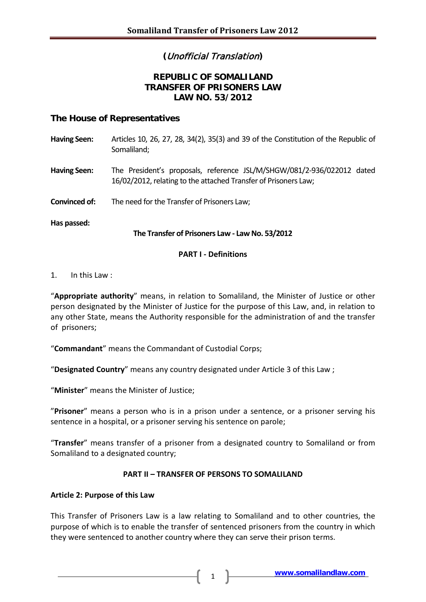# **(**Unofficial Translation**)**

# **REPUBLIC OF SOMALILAND TRANSFER OF PRISONERS LAW LAW NO. 53/2012**

# **The House of Representatives**

| <b>Having Seen:</b> | Articles 10, 26, 27, 28, 34(2), 35(3) and 39 of the Constitution of the Republic of<br>Somaliland;                                        |
|---------------------|-------------------------------------------------------------------------------------------------------------------------------------------|
| <b>Having Seen:</b> | The President's proposals, reference JSL/M/SHGW/081/2-936/022012 dated<br>16/02/2012, relating to the attached Transfer of Prisoners Law; |
| Convinced of:       | The need for the Transfer of Prisoners Law;                                                                                               |
| Has passed:         | The Transfer of Prisoners Law - Law No. 53/2012                                                                                           |

### **PART I - Definitions**

#### 1. In this Law :

"**Appropriate authority**" means, in relation to Somaliland, the Minister of Justice or other person designated by the Minister of Justice for the purpose of this Law, and, in relation to any other State, means the Authority responsible for the administration of and the transfer of prisoners;

"**Commandant**" means the Commandant of Custodial Corps;

"**Designated Country**" means any country designated under Article 3 of this Law ;

"**Minister**" means the Minister of Justice;

"**Prisoner**" means a person who is in a prison under a sentence, or a prisoner serving his sentence in a hospital, or a prisoner serving his sentence on parole;

"**Transfer**" means transfer of a prisoner from a designated country to Somaliland or from Somaliland to a designated country;

### **PART II – TRANSFER OF PERSONS TO SOMALILAND**

### **Article 2: Purpose of this Law**

This Transfer of Prisoners Law is a law relating to Somaliland and to other countries, the purpose of which is to enable the transfer of sentenced prisoners from the country in which they were sentenced to another country where they can serve their prison terms.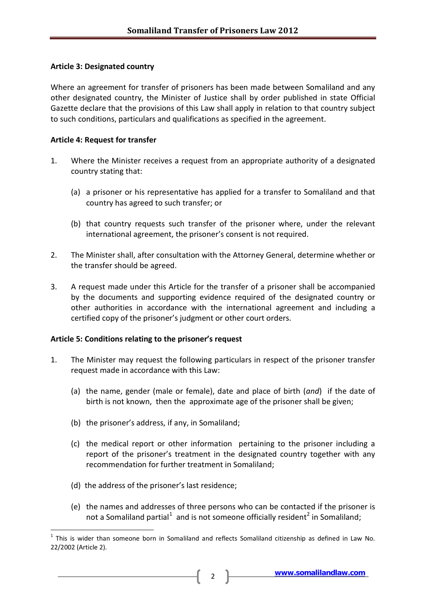### **Article 3: Designated country**

Where an agreement for transfer of prisoners has been made between Somaliland and any other designated country, the Minister of Justice shall by order published in state Official Gazette declare that the provisions of this Law shall apply in relation to that country subject to such conditions, particulars and qualifications as specified in the agreement.

### **Article 4: Request for transfer**

- 1. Where the Minister receives a request from an appropriate authority of a designated country stating that:
	- (a) a prisoner or his representative has applied for a transfer to Somaliland and that country has agreed to such transfer; or
	- (b) that country requests such transfer of the prisoner where, under the relevant international agreement, the prisoner's consent is not required.
- 2. The Minister shall, after consultation with the Attorney General, determine whether or the transfer should be agreed.
- 3. A request made under this Article for the transfer of a prisoner shall be accompanied by the documents and supporting evidence required of the designated country or other authorities in accordance with the international agreement and including a certified copy of the prisoner's judgment or other court orders.

#### **Article 5: Conditions relating to the prisoner's request**

- 1. The Minister may request the following particulars in respect of the prisoner transfer request made in accordance with this Law:
	- (a) the name, gender (male or female), date and place of birth (*and*) if the date of birth is not known, then the approximate age of the prisoner shall be given;
	- (b) the prisoner's address, if any, in Somaliland;
	- (c) the medical report or other information pertaining to the prisoner including a report of the prisoner's treatment in the designated country together with any recommendation for further treatment in Somaliland;
	- (d) the address of the prisoner's last residence;
	- (e) the names and addresses of three persons who can be contacted if the prisoner is not a Somaliland partial<sup>[1](#page-1-0)</sup> and is not someone officially resident<sup>[2](#page-1-1)</sup> in Somaliland;

<span id="page-1-1"></span><span id="page-1-0"></span> $1$  This is wider than someone born in Somaliland and reflects Somaliland citizenship as defined in Law No. 22/2002 (Article 2).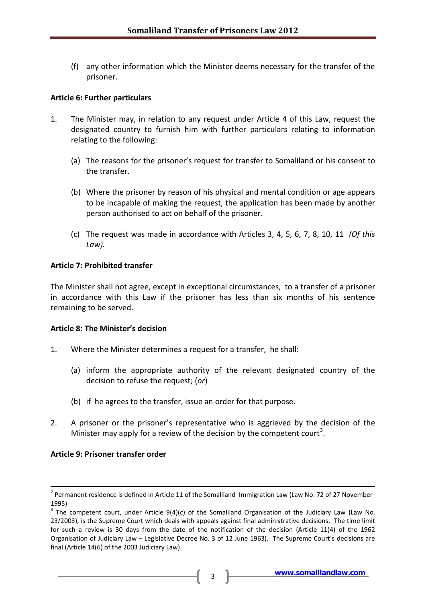(f) any other information which the Minister deems necessary for the transfer of the prisoner.

### **Article 6: Further particulars**

- 1. The Minister may, in relation to any request under Article 4 of this Law, request the designated country to furnish him with further particulars relating to information relating to the following:
	- (a) The reasons for the prisoner's request for transfer to Somaliland or his consent to the transfer.
	- (b) Where the prisoner by reason of his physical and mental condition or age appears to be incapable of making the request, the application has been made by another person authorised to act on behalf of the prisoner.
	- (c) The request was made in accordance with Articles 3, 4, 5, 6, 7, 8, 10, 11 *(Of this Law).*

### **Article 7: Prohibited transfer**

The Minister shall not agree, except in exceptional circumstances, to a transfer of a prisoner in accordance with this Law if the prisoner has less than six months of his sentence remaining to be served.

#### **Article 8: The Minister's decision**

- 1. Where the Minister determines a request for a transfer, he shall:
	- (a) inform the appropriate authority of the relevant designated country of the decision to refuse the request; (*or*)
	- (b) if he agrees to the transfer, issue an order for that purpose.
- 2. A prisoner or the prisoner's representative who is aggrieved by the decision of the Minister may apply for a review of the decision by the competent court<sup>[3](#page-2-0)</sup>.

#### **Article 9: Prisoner transfer order**

<sup>&</sup>lt;sup>2</sup> Permanent residence is defined in Article 11 of the Somaliland Immigration Law (Law No. 72 of 27 November 1995)

<span id="page-2-0"></span> $3$  The competent court, under Article 9(4)(c) of the Somaliland Organisation of the Judiciary Law (Law No. 23/2003), is the Supreme Court which deals with appeals against final administrative decisions. The time limit for such a review is 30 days from the date of the notification of the decision (Article 11(4) of the 1962 Organisation of Judiciary Law – Legislative Decree No. 3 of 12 June 1963). The Supreme Court's decisions are final (Article 14(6) of the 2003 Judiciary Law).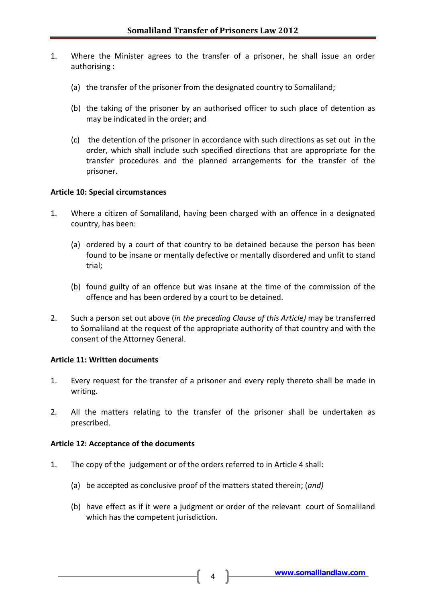- 1. Where the Minister agrees to the transfer of a prisoner, he shall issue an order authorising :
	- (a) the transfer of the prisoner from the designated country to Somaliland;
	- (b) the taking of the prisoner by an authorised officer to such place of detention as may be indicated in the order; and
	- (c) the detention of the prisoner in accordance with such directions as set out in the order, which shall include such specified directions that are appropriate for the transfer procedures and the planned arrangements for the transfer of the prisoner.

### **Article 10: Special circumstances**

- 1. Where a citizen of Somaliland, having been charged with an offence in a designated country, has been:
	- (a) ordered by a court of that country to be detained because the person has been found to be insane or mentally defective or mentally disordered and unfit to stand trial;
	- (b) found guilty of an offence but was insane at the time of the commission of the offence and has been ordered by a court to be detained.
- 2. Such a person set out above (*in the preceding Clause of this Article)* may be transferred to Somaliland at the request of the appropriate authority of that country and with the consent of the Attorney General.

### **Article 11: Written documents**

- 1. Every request for the transfer of a prisoner and every reply thereto shall be made in writing.
- 2. All the matters relating to the transfer of the prisoner shall be undertaken as prescribed.

### **Article 12: Acceptance of the documents**

- 1. The copy of the judgement or of the orders referred to in Article 4 shall:
	- (a) be accepted as conclusive proof of the matters stated therein; (*and)*
	- (b) have effect as if it were a judgment or order of the relevant court of Somaliland which has the competent jurisdiction.

**[www.somalilandlaw.com](http://www.somalilandlaw.com/)** <sup>4</sup>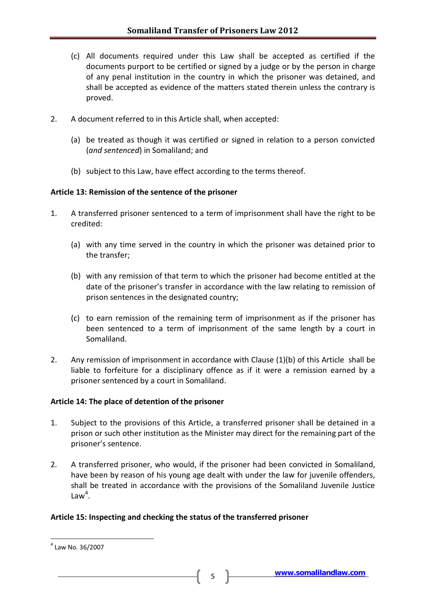- (c) All documents required under this Law shall be accepted as certified if the documents purport to be certified or signed by a judge or by the person in charge of any penal institution in the country in which the prisoner was detained, and shall be accepted as evidence of the matters stated therein unless the contrary is proved.
- 2. A document referred to in this Article shall, when accepted:
	- (a) be treated as though it was certified or signed in relation to a person convicted (*and sentenced*) in Somaliland; and
	- (b) subject to this Law, have effect according to the terms thereof.

### **Article 13: Remission of the sentence of the prisoner**

- 1. A transferred prisoner sentenced to a term of imprisonment shall have the right to be credited:
	- (a) with any time served in the country in which the prisoner was detained prior to the transfer;
	- (b) with any remission of that term to which the prisoner had become entitled at the date of the prisoner's transfer in accordance with the law relating to remission of prison sentences in the designated country;
	- (c) to earn remission of the remaining term of imprisonment as if the prisoner has been sentenced to a term of imprisonment of the same length by a court in Somaliland.
- 2. Any remission of imprisonment in accordance with Clause (1)(b) of this Article shall be liable to forfeiture for a disciplinary offence as if it were a remission earned by a prisoner sentenced by a court in Somaliland.

### **Article 14: The place of detention of the prisoner**

- 1. Subject to the provisions of this Article, a transferred prisoner shall be detained in a prison or such other institution as the Minister may direct for the remaining part of the prisoner's sentence.
- 2. A transferred prisoner, who would, if the prisoner had been convicted in Somaliland, have been by reason of his young age dealt with under the law for juvenile offenders, shall be treated in accordance with the provisions of the Somaliland Juvenile Justice Law<sup>[4](#page-4-0)</sup>.

### **Article 15: Inspecting and checking the status of the transferred prisoner**

<span id="page-4-0"></span> $4$  Law No. 36/2007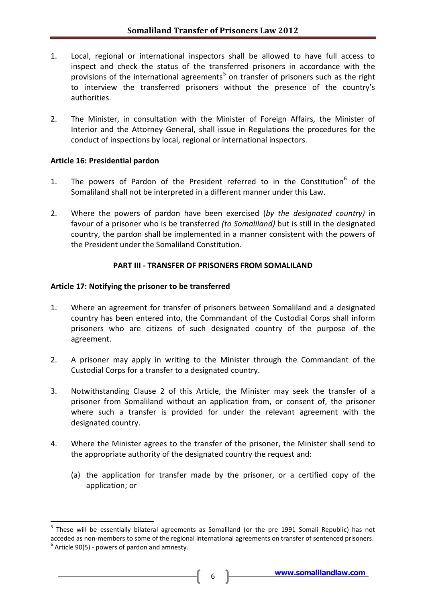- 1. Local, regional or international inspectors shall be allowed to have full access to inspect and check the status of the transferred prisoners in accordance with the provisions of the international agreements<sup>[5](#page-5-0)</sup> on transfer of prisoners such as the right to interview the transferred prisoners without the presence of the country's authorities.
- 2. The Minister, in consultation with the Minister of Foreign Affairs, the Minister of Interior and the Attorney General, shall issue in Regulations the procedures for the conduct of inspections by local, regional or international inspectors.

### **Article 16: Presidential pardon**

- 1. The powers of Pardon of the President referred to in the Constitution $<sup>6</sup>$  $<sup>6</sup>$  $<sup>6</sup>$  of the</sup> Somaliland shall not be interpreted in a different manner under this Law.
- 2. Where the powers of pardon have been exercised (*by the designated country)* in favour of a prisoner who is be transferred *(to Somaliland)* but is still in the designated country, the pardon shall be implemented in a manner consistent with the powers of the President under the Somaliland Constitution.

### **PART III - TRANSFER OF PRISONERS FROM SOMALILAND**

### **Article 17: Notifying the prisoner to be transferred**

- 1. Where an agreement for transfer of prisoners between Somaliland and a designated country has been entered into, the Commandant of the Custodial Corps shall inform prisoners who are citizens of such designated country of the purpose of the agreement.
- 2. A prisoner may apply in writing to the Minister through the Commandant of the Custodial Corps for a transfer to a designated country.
- 3. Notwithstanding Clause 2 of this Article, the Minister may seek the transfer of a prisoner from Somaliland without an application from, or consent of, the prisoner where such a transfer is provided for under the relevant agreement with the designated country.
- 4. Where the Minister agrees to the transfer of the prisoner, the Minister shall send to the appropriate authority of the designated country the request and:
	- (a) the application for transfer made by the prisoner, or a certified copy of the application; or

<span id="page-5-1"></span><span id="page-5-0"></span> <sup>5</sup> These will be essentially bilateral agreements as Somaliland (or the pre 1991 Somali Republic) has not acceded as non-members to some of the regional international agreements on transfer of sentenced prisoners.<br><sup>6</sup> Article 90(5) - powers of pardon and amnesty.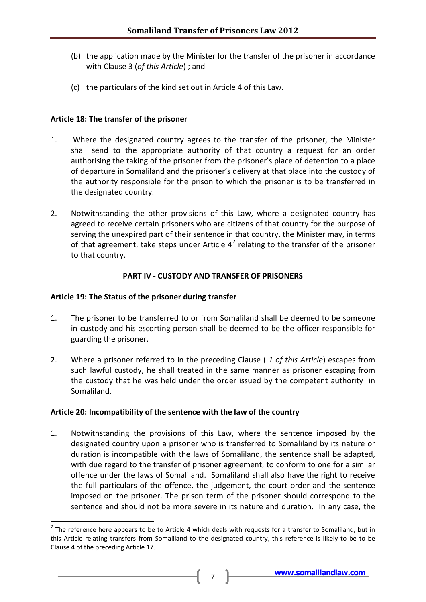- (b) the application made by the Minister for the transfer of the prisoner in accordance with Clause 3 (*of this Article*) ; and
- (c) the particulars of the kind set out in Article 4 of this Law.

# **Article 18: The transfer of the prisoner**

- 1. Where the designated country agrees to the transfer of the prisoner, the Minister shall send to the appropriate authority of that country a request for an order authorising the taking of the prisoner from the prisoner's place of detention to a place of departure in Somaliland and the prisoner's delivery at that place into the custody of the authority responsible for the prison to which the prisoner is to be transferred in the designated country.
- 2. Notwithstanding the other provisions of this Law, where a designated country has agreed to receive certain prisoners who are citizens of that country for the purpose of serving the unexpired part of their sentence in that country, the Minister may, in terms of that agreement, take steps under Article  $4^7$  $4^7$  relating to the transfer of the prisoner to that country.

# **PART IV - CUSTODY AND TRANSFER OF PRISONERS**

### **Article 19: The Status of the prisoner during transfer**

- 1. The prisoner to be transferred to or from Somaliland shall be deemed to be someone in custody and his escorting person shall be deemed to be the officer responsible for guarding the prisoner.
- 2. Where a prisoner referred to in the preceding Clause ( *1 of this Article*) escapes from such lawful custody, he shall treated in the same manner as prisoner escaping from the custody that he was held under the order issued by the competent authority in Somaliland.

### **Article 20: Incompatibility of the sentence with the law of the country**

1. Notwithstanding the provisions of this Law, where the sentence imposed by the designated country upon a prisoner who is transferred to Somaliland by its nature or duration is incompatible with the laws of Somaliland, the sentence shall be adapted, with due regard to the transfer of prisoner agreement, to conform to one for a similar offence under the laws of Somaliland. Somaliland shall also have the right to receive the full particulars of the offence, the judgement, the court order and the sentence imposed on the prisoner. The prison term of the prisoner should correspond to the sentence and should not be more severe in its nature and duration. In any case, the

<span id="page-6-0"></span> $<sup>7</sup>$  The reference here appears to be to Article 4 which deals with requests for a transfer to Somaliland, but in</sup> this Article relating transfers from Somaliland to the designated country, this reference is likely to be to be Clause 4 of the preceding Article 17.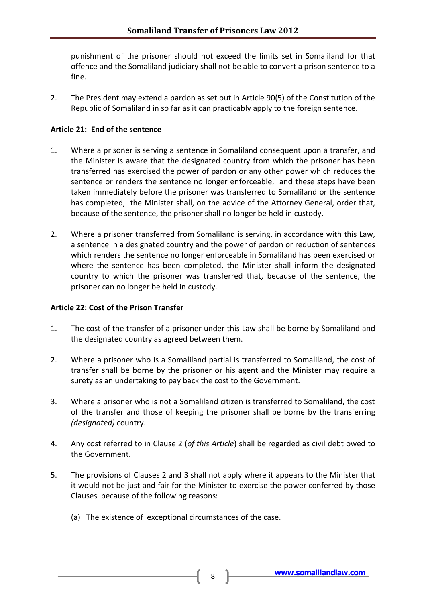punishment of the prisoner should not exceed the limits set in Somaliland for that offence and the Somaliland judiciary shall not be able to convert a prison sentence to a fine.

2. The President may extend a pardon as set out in Article 90(5) of the Constitution of the Republic of Somaliland in so far as it can practicably apply to the foreign sentence.

# **Article 21: End of the sentence**

- 1. Where a prisoner is serving a sentence in Somaliland consequent upon a transfer, and the Minister is aware that the designated country from which the prisoner has been transferred has exercised the power of pardon or any other power which reduces the sentence or renders the sentence no longer enforceable, and these steps have been taken immediately before the prisoner was transferred to Somaliland or the sentence has completed, the Minister shall, on the advice of the Attorney General, order that, because of the sentence, the prisoner shall no longer be held in custody.
- 2. Where a prisoner transferred from Somaliland is serving, in accordance with this Law, a sentence in a designated country and the power of pardon or reduction of sentences which renders the sentence no longer enforceable in Somaliland has been exercised or where the sentence has been completed, the Minister shall inform the designated country to which the prisoner was transferred that, because of the sentence, the prisoner can no longer be held in custody.

# **Article 22: Cost of the Prison Transfer**

- 1. The cost of the transfer of a prisoner under this Law shall be borne by Somaliland and the designated country as agreed between them.
- 2. Where a prisoner who is a Somaliland partial is transferred to Somaliland, the cost of transfer shall be borne by the prisoner or his agent and the Minister may require a surety as an undertaking to pay back the cost to the Government.
- 3. Where a prisoner who is not a Somaliland citizen is transferred to Somaliland, the cost of the transfer and those of keeping the prisoner shall be borne by the transferring *(designated)* country.
- 4. Any cost referred to in Clause 2 (*of this Article*) shall be regarded as civil debt owed to the Government.
- 5. The provisions of Clauses 2 and 3 shall not apply where it appears to the Minister that it would not be just and fair for the Minister to exercise the power conferred by those Clauses because of the following reasons:
	- (a) The existence of exceptional circumstances of the case.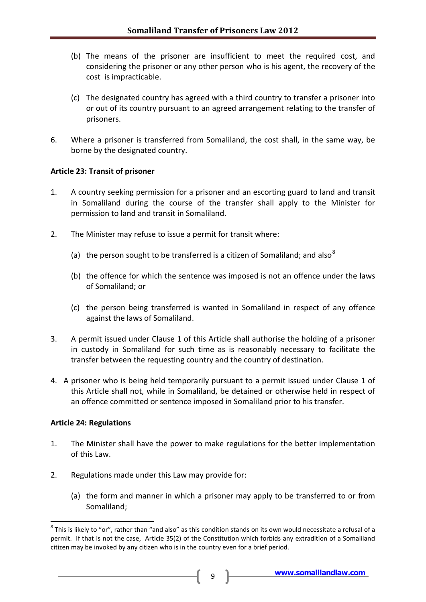- (b) The means of the prisoner are insufficient to meet the required cost, and considering the prisoner or any other person who is his agent, the recovery of the cost is impracticable.
- (c) The designated country has agreed with a third country to transfer a prisoner into or out of its country pursuant to an agreed arrangement relating to the transfer of prisoners.
- 6. Where a prisoner is transferred from Somaliland, the cost shall, in the same way, be borne by the designated country.

### **Article 23: Transit of prisoner**

- 1. A country seeking permission for a prisoner and an escorting guard to land and transit in Somaliland during the course of the transfer shall apply to the Minister for permission to land and transit in Somaliland.
- 2. The Minister may refuse to issue a permit for transit where:
	- (a) the person sought to be transferred is a citizen of Somaliland; and also<sup>[8](#page-8-0)</sup>
	- (b) the offence for which the sentence was imposed is not an offence under the laws of Somaliland; or
	- (c) the person being transferred is wanted in Somaliland in respect of any offence against the laws of Somaliland.
- 3. A permit issued under Clause 1 of this Article shall authorise the holding of a prisoner in custody in Somaliland for such time as is reasonably necessary to facilitate the transfer between the requesting country and the country of destination.
- 4. A prisoner who is being held temporarily pursuant to a permit issued under Clause 1 of this Article shall not, while in Somaliland, be detained or otherwise held in respect of an offence committed or sentence imposed in Somaliland prior to his transfer.

### **Article 24: Regulations**

- 1. The Minister shall have the power to make regulations for the better implementation of this Law.
- 2. Regulations made under this Law may provide for:
	- (a) the form and manner in which a prisoner may apply to be transferred to or from Somaliland;

<span id="page-8-0"></span> $8$  This is likely to "or", rather than "and also" as this condition stands on its own would necessitate a refusal of a permit. If that is not the case, Article 35(2) of the Constitution which forbids any extradition of a Somaliland citizen may be invoked by any citizen who is in the country even for a brief period.